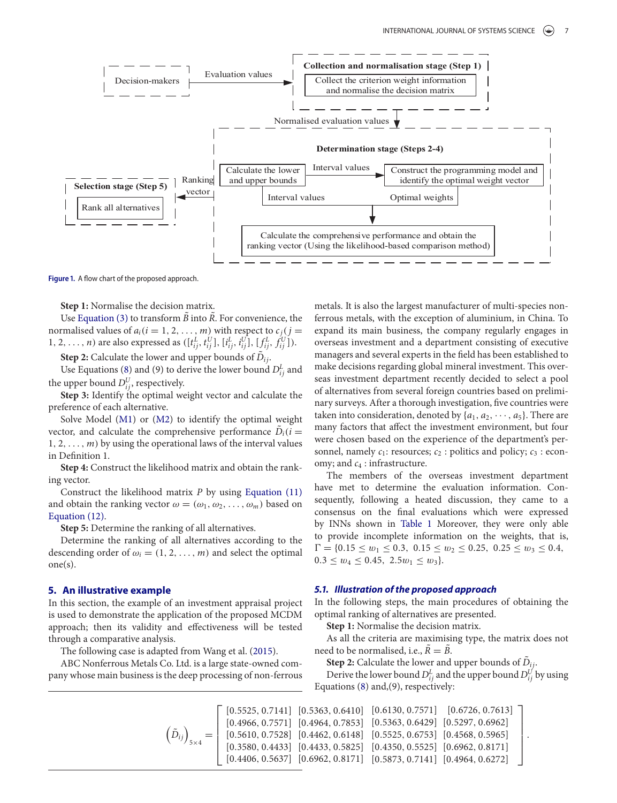

Figure 1. A flow chart of the proposed approach.

**Step 1:** Normalise the decision matrix.

Use [Equation \(3\)](#page-3-0) to transform  $\overline{B}$  into  $\overline{R}$ . For convenience, the normalised values of  $a_i$  ( $i = 1, 2, ..., m$ ) with respect to  $c_j$  ( $j =$ 1, 2, ..., *n*) are also expressed as  $([t_{ij}^L, t_{ij}^U], [i_{ij}^L, i_{ij}^U], [f_{ij}^L, f_{ij}^U]$ .

**Step 2:** Calculate the lower and upper bounds of  $D_{ij}$ .

Use Equations [\(8\)](#page-4-0) and (9) to derive the lower bound  $D_{ij}^L$  and the upper bound  $D_{ij}^U$ , respectively.

**Step 3:** Identify the optimal weight vector and calculate the preference of each alternative.

Solve Model [\(M1\)](#page-5-0) or [\(M2\)](#page-5-1) to identify the optimal weight vector, and calculate the comprehensive performance  $\tilde{D}_i(i =$  $1, 2, \ldots, m$  by using the operational laws of the interval values in Definition 1.

**Step 4:** Construct the likelihood matrix and obtain the ranking vector.

Construct the likelihood matrix *P* by using [Equation \(11\)](#page-5-2) and obtain the ranking vector  $\omega = (\omega_1, \omega_2, \ldots, \omega_m)$  based on [Equation \(12\).](#page-5-3)

**Step 5:** Determine the ranking of all alternatives.

Determine the ranking of all alternatives according to the descending order of  $\omega_i = (1, 2, \dots, m)$  and select the optimal one(s).

### **5. An illustrative example**

In this section, the example of an investment appraisal project is used to demonstrate the application of the proposed MCDM approach; then its validity and effectiveness will be tested through a comparative analysis.

The following case is adapted from Wang et al. [\(2015\)](#page-10-0).

ABC Nonferrous Metals Co. Ltd. is a large state-owned company whose main business is the deep processing of non-ferrous metals. It is also the largest manufacturer of multi-species nonferrous metals, with the exception of aluminium, in China. To expand its main business, the company regularly engages in overseas investment and a department consisting of executive managers and several experts in the field has been established to make decisions regarding global mineral investment. This overseas investment department recently decided to select a pool of alternatives from several foreign countries based on preliminary surveys. After a thorough investigation, five countries were taken into consideration, denoted by  $\{a_1, a_2, \dots, a_5\}$ . There are many factors that affect the investment environment, but four were chosen based on the experience of the department's personnel, namely  $c_1$ : resources;  $c_2$ : politics and policy;  $c_3$ : economy; and *c*<sup>4</sup> : infrastructure.

The members of the overseas investment department have met to determine the evaluation information. Consequently, following a heated discussion, they came to a consensus on the final evaluations which were expressed by INNs shown in [Table 1](#page-7-0) Moreover, they were only able to provide incomplete information on the weights, that is,  $\Gamma = \{0.15 \le w_1 \le 0.3, 0.15 \le w_2 \le 0.25, 0.25 \le w_3 \le 0.4, \}$  $0.3 \leq w_4 \leq 0.45$ ,  $2.5w_1 \leq w_3$ .

### *5.1. Illustration of the proposed approach*

In the following steps, the main procedures of obtaining the optimal ranking of alternatives are presented.

**Step 1:** Normalise the decision matrix.

As all the criteria are maximising type, the matrix does not need to be normalised, i.e.,  $\overline{R} = \overline{B}$ .

**Step 2:** Calculate the lower and upper bounds of  $\ddot{D}_{ij}$ .

Derive the lower bound  $D_{ij}^L$  and the upper bound  $D_{ij}^U$  by using Equations [\(8\)](#page-4-0) and,(9), respectively:

$$
\left(\tilde{D}_{ij}\right)_{5\times4} = \left[\begin{array}{ccccc} [0.5525, 0.7141] & [0.5363, 0.6410] & [0.6130, 0.7571] & [0.6726, 0.7613] \\ [0.4966, 0.7571] & [0.4964, 0.7853] & [0.5363, 0.6429] & [0.5297, 0.6962] \\ [0.5610, 0.7528] & [0.4462, 0.6148] & [0.5525, 0.6753] & [0.4568, 0.5965] \\ [0.3580, 0.4433] & [0.4433, 0.5825] & [0.4350, 0.5525] & [0.6962, 0.8171] \\ [0.4406, 0.5637] & [0.6962, 0.8171] & [0.5873, 0.7141] & [0.4964, 0.6272] \end{array}\right].
$$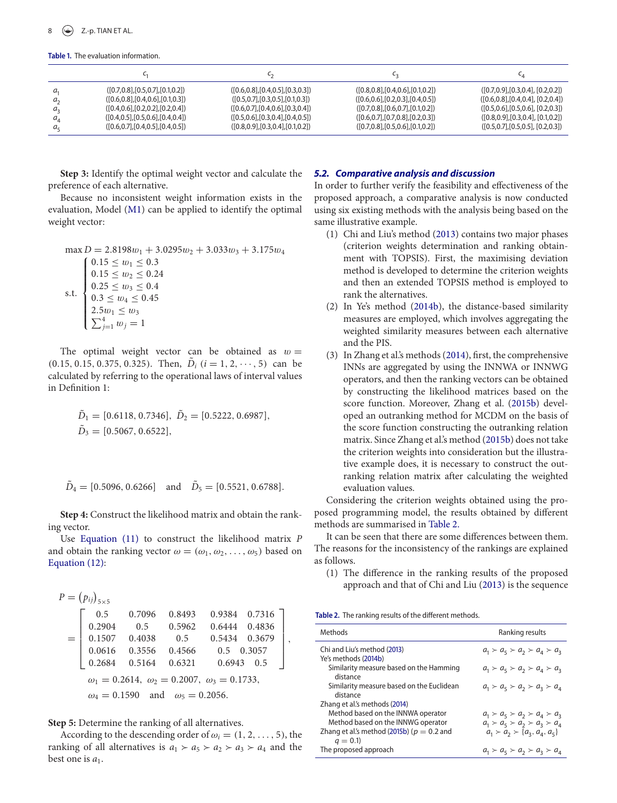#### <span id="page-7-0"></span>Table 1. The evaluation information.

|                            |                                         | しっ                                   |                                            | $\mathcal{L}_{A}$                    |
|----------------------------|-----------------------------------------|--------------------------------------|--------------------------------------------|--------------------------------------|
| а,                         | (0.7.0.81.0.5.0.71.0.1.0.21)            | (0.6.0.81.0.4.0.51.0.3.0.31)         | $(0.8.0.8]$ , $[0.4.0.6]$ , $[0.1.0.2]$    | (0.7.0.91.03.0.41.03.0.21)           |
| $a_{2}$                    | $(0.6.0.8]$ , $[0.4.0.6]$ , $[0.1.0.3]$ | (0.5.0.71.00.3.0.51.00.10.31)        | (0.6.0.61.02.0.31.04.0.51)                 | ([0.6, 0.8], [0.4, 0.4], [0.2, 0.4]) |
| $a_{2}$                    | ([0.4, 0.6], [0.2, 0.2], [0.2, 0.4])    | ([0.6.0.7],[0.4.0.6],[0.3.0.4])      | ( [0.7.0.8] , [0.6.0.7] , [0.1.0.2] )      | ([0.5, 0.6], [0.5, 0.6], [0.2, 0.3]) |
| $a_{\scriptscriptstyle A}$ | ([0.4, 0.5], [0.5, 0.6], [0.4, 0.4])    | (0.5.0.61.03.0.41.04.0.51)           | (0.6.0.71.00.7.0.81.000.2.0.31)            | ([0.8, 0.9], [0.3, 0.4], [0.1, 0.2]) |
| $a_{\epsilon}$             | ([0.6, 0.7], [0.4, 0.5], [0.4, 0.5])    | ([0.8, 0.9], [0.3, 0.4], [0.1, 0.2]) | $(0.7, 0.8]$ , $[0.5, 0.6]$ , $[0.1, 0.2]$ | ([0.5, 0.7], [0.5, 0.5], [0.2, 0.3]) |

**Step 3:** Identify the optimal weight vector and calculate the preference of each alternative.

Because no inconsistent weight information exists in the evaluation, Model [\(M1\)](#page-5-0) can be applied to identify the optimal weight vector:

```
\max D = 2.8198w_1 + 3.0295w_2 + 3.033w_3 + 3.175w_4
```

```
\left\{\n\right\}\bigcap_{n=1}^{\infty} 0.15 \leq w_1 \leq 0.3\sqrt{\frac{1}{2}}0.15 \leq w_2 \leq 0.240.25 \leq w_3 \leq 0.40.3 \leq w_4 \leq 0.452.5w_1 \leq w_3<br>\sum_{j=1}^4 w_j = 1
```
The optimal weight vector can be obtained as  $w =$  $(0.15, 0.15, 0.375, 0.325)$ . Then,  $\ddot{D}_i$   $(i = 1, 2, \dots, 5)$  can be calculated by referring to the operational laws of interval values in Definition 1:

$$
\tilde{D}_1 = [0.6118, 0.7346], \ \tilde{D}_2 = [0.5222, 0.6987], \n\tilde{D}_3 = [0.5067, 0.6522],
$$

$$
\tilde{D}_4 = [0.5096, 0.6266]
$$
 and  $\tilde{D}_5 = [0.5521, 0.6788]$ .

**Step 4:** Construct the likelihood matrix and obtain the ranking vector.

Use [Equation \(11\)](#page-5-2) to construct the likelihood matrix *P* and obtain the ranking vector  $\omega = (\omega_1, \omega_2, \ldots, \omega_5)$  based on [Equation \(12\):](#page-5-3)

$$
P = (p_{ij})_{5 \times 5}
$$
  
= 
$$
\begin{bmatrix} 0.5 & 0.7096 & 0.8493 & 0.9384 & 0.7316 \\ 0.2904 & 0.5 & 0.5962 & 0.6444 & 0.4836 \\ 0.1507 & 0.4038 & 0.5 & 0.5434 & 0.3679 \\ 0.0616 & 0.3556 & 0.4566 & 0.5 & 0.3057 \\ 0.2684 & 0.5164 & 0.6321 & 0.6943 & 0.5 \end{bmatrix}
$$
  
 $\omega_1 = 0.2614$ ,  $\omega_2 = 0.2007$ ,  $\omega_3 = 0.1733$ ,  
 $\omega_4 = 0.1590$  and  $\omega_5 = 0.2056$ .

# **Step 5:** Determine the ranking of all alternatives.

According to the descending order of  $\omega_i = (1, 2, \ldots, 5)$ , the ranking of all alternatives is  $a_1 > a_5 > a_2 > a_3 > a_4$  and the best one is  $a_1$ .

# *5.2. Comparative analysis and discussion*

In order to further verify the feasibility and effectiveness of the proposed approach, a comparative analysis is now conducted using six existing methods with the analysis being based on the same illustrative example.

- (1) Chi and Liu's method [\(2013\)](#page-9-0) contains two major phases (criterion weights determination and ranking obtainment with TOPSIS). First, the maximising deviation method is developed to determine the criterion weights and then an extended TOPSIS method is employed to rank the alternatives.
- (2) In Ye's method [\(2014b\)](#page-10-1), the distance-based similarity measures are employed, which involves aggregating the weighted similarity measures between each alternative and the PIS.
- (3) In Zhang et al.'s methods [\(2014\)](#page-10-2), first, the comprehensive INNs are aggregated by using the INNWA or INNWG operators, and then the ranking vectors can be obtained by constructing the likelihood matrices based on the score function. Moreover, Zhang et al. [\(2015b\)](#page-10-3) developed an outranking method for MCDM on the basis of the score function constructing the outranking relation matrix. Since Zhang et al.'s method [\(2015b\)](#page-10-3) does not take the criterion weights into consideration but the illustrative example does, it is necessary to construct the outranking relation matrix after calculating the weighted evaluation values.

Considering the criterion weights obtained using the proposed programming model, the results obtained by different methods are summarised in [Table 2.](#page-7-1)

It can be seen that there are some differences between them. The reasons for the inconsistency of the rankings are explained as follows.

(1) The difference in the ranking results of the proposed approach and that of Chi and Liu [\(2013\)](#page-9-0) is the sequence

<span id="page-7-1"></span>

|  | Table 2. The ranking results of the different methods. |  |
|--|--------------------------------------------------------|--|
|  |                                                        |  |

,

| Methods                                               | Ranking results                                       |
|-------------------------------------------------------|-------------------------------------------------------|
| Chi and Liu's method (2013)<br>Ye's methods (2014b)   | $a_1 \succ a_5 \succ a_2 \succ a_4 \succ a_3$         |
| Similarity measure based on the Hamming<br>distance   | $a_1 \succ a_5 \succ a_2 \succ a_4 \succ a_3$         |
| Similarity measure based on the Euclidean<br>distance | $a_1 \succ a_5 \succ a_2 \succ a_3 \succ a_4$         |
| Zhang et al.'s methods (2014)                         |                                                       |
| Method based on the INNWA operator                    | $a_1 > a_5 > a_2 > a_4 > a_3$                         |
| Method based on the INNWG operator                    | $a_1 > a_5 > a_2 > a_3 > a_4$                         |
| Zhang et al.'s method (2015b) ( $p = 0.2$ and         | $a_1 > a_2 > {a_3, a_4, a_5}$                         |
| $q = 0.1$                                             |                                                       |
| The proposed approach                                 | $a_1 \succ a_{5} \succ a_{2} \succ a_{3} \succ a_{4}$ |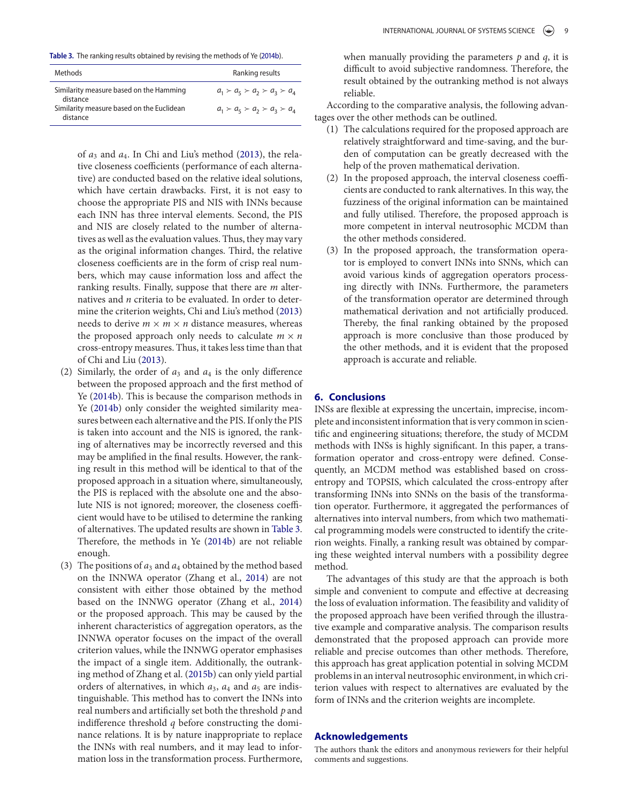<span id="page-8-0"></span>Table 3. The ranking results obtained by revising the methods of Ye (2014b).

| Methods                                                                                                      | Ranking results                                                                |
|--------------------------------------------------------------------------------------------------------------|--------------------------------------------------------------------------------|
| Similarity measure based on the Hamming<br>distance<br>Similarity measure based on the Euclidean<br>distance | $a_1 \succ a_5 \succ a_2 \succ a_3 \succ a_4$<br>$a_1 > a_5 > a_2 > a_3 > a_4$ |

of *a*<sup>3</sup> and *a*4. In Chi and Liu's method [\(2013\)](#page-9-0), the relative closeness coefficients (performance of each alternative) are conducted based on the relative ideal solutions, which have certain drawbacks. First, it is not easy to choose the appropriate PIS and NIS with INNs because each INN has three interval elements. Second, the PIS and NIS are closely related to the number of alternatives as well as the evaluation values. Thus, they may vary as the original information changes. Third, the relative closeness coefficients are in the form of crisp real numbers, which may cause information loss and affect the ranking results. Finally, suppose that there are *m* alternatives and *n* criteria to be evaluated. In order to determine the criterion weights, Chi and Liu's method [\(2013\)](#page-9-0) needs to derive  $m \times m \times n$  distance measures, whereas the proposed approach only needs to calculate  $m \times n$ cross-entropy measures. Thus, it takes less time than that of Chi and Liu [\(2013\)](#page-9-0).

- (2) Similarly, the order of  $a_3$  and  $a_4$  is the only difference between the proposed approach and the first method of Ye [\(2014b\)](#page-10-1). This is because the comparison methods in Ye [\(2014b\)](#page-10-1) only consider the weighted similarity measures between each alternative and the PIS. If only the PIS is taken into account and the NIS is ignored, the ranking of alternatives may be incorrectly reversed and this may be amplified in the final results. However, the ranking result in this method will be identical to that of the proposed approach in a situation where, simultaneously, the PIS is replaced with the absolute one and the absolute NIS is not ignored; moreover, the closeness coefficient would have to be utilised to determine the ranking of alternatives. The updated results are shown in [Table 3.](#page-8-0) Therefore, the methods in Ye [\(2014b\)](#page-10-1) are not reliable enough.
- (3) The positions of  $a_3$  and  $a_4$  obtained by the method based on the INNWA operator (Zhang et al., [2014\)](#page-10-2) are not consistent with either those obtained by the method based on the INNWG operator (Zhang et al., [2014\)](#page-10-2) or the proposed approach. This may be caused by the inherent characteristics of aggregation operators, as the INNWA operator focuses on the impact of the overall criterion values, while the INNWG operator emphasises the impact of a single item. Additionally, the outranking method of Zhang et al. [\(2015b\)](#page-10-3) can only yield partial orders of alternatives, in which  $a_3$ ,  $a_4$  and  $a_5$  are indistinguishable. This method has to convert the INNs into real numbers and artificially set both the threshold *p* and indifference threshold *q* before constructing the dominance relations. It is by nature inappropriate to replace the INNs with real numbers, and it may lead to information loss in the transformation process. Furthermore,

when manually providing the parameters *p* and *q*, it is difficult to avoid subjective randomness. Therefore, the result obtained by the outranking method is not always reliable.

According to the comparative analysis, the following advantages over the other methods can be outlined.

- (1) The calculations required for the proposed approach are relatively straightforward and time-saving, and the burden of computation can be greatly decreased with the help of the proven mathematical derivation.
- (2) In the proposed approach, the interval closeness coefficients are conducted to rank alternatives. In this way, the fuzziness of the original information can be maintained and fully utilised. Therefore, the proposed approach is more competent in interval neutrosophic MCDM than the other methods considered.
- (3) In the proposed approach, the transformation operator is employed to convert INNs into SNNs, which can avoid various kinds of aggregation operators processing directly with INNs. Furthermore, the parameters of the transformation operator are determined through mathematical derivation and not artificially produced. Thereby, the final ranking obtained by the proposed approach is more conclusive than those produced by the other methods, and it is evident that the proposed approach is accurate and reliable.

# **6. Conclusions**

INSs are flexible at expressing the uncertain, imprecise, incomplete and inconsistent information that is very common in scientific and engineering situations; therefore, the study of MCDM methods with INSs is highly significant. In this paper, a transformation operator and cross-entropy were defined. Consequently, an MCDM method was established based on crossentropy and TOPSIS, which calculated the cross-entropy after transforming INNs into SNNs on the basis of the transformation operator. Furthermore, it aggregated the performances of alternatives into interval numbers, from which two mathematical programming models were constructed to identify the criterion weights. Finally, a ranking result was obtained by comparing these weighted interval numbers with a possibility degree method.

The advantages of this study are that the approach is both simple and convenient to compute and effective at decreasing the loss of evaluation information. The feasibility and validity of the proposed approach have been verified through the illustrative example and comparative analysis. The comparison results demonstrated that the proposed approach can provide more reliable and precise outcomes than other methods. Therefore, this approach has great application potential in solving MCDM problems in an interval neutrosophic environment, in which criterion values with respect to alternatives are evaluated by the form of INNs and the criterion weights are incomplete.

# **Acknowledgements**

The authors thank the editors and anonymous reviewers for their helpful comments and suggestions.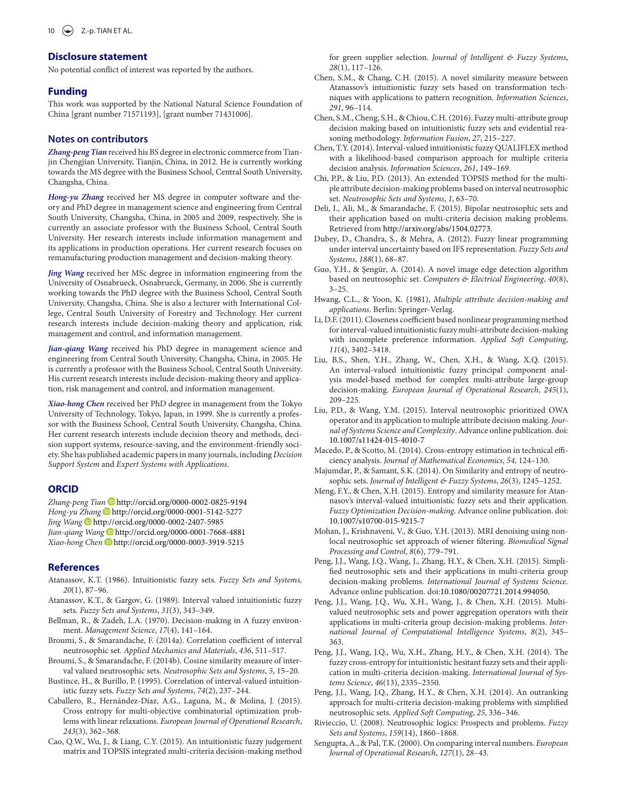### **Disclosure statement**

No potential conflict of interest was reported by the authors.

# **Funding**

This work was supported by the National Natural Science Foundation of China [grant number 71571193], [grant number 71431006].

# **Notes on contributors**

*Zhang-peng Tian* received his BS degree in electronic commerce from Tianjin Chengjian University, Tianjin, China, in 2012. He is currently working towards the MS degree with the Business School, Central South University, Changsha, China.

*Hong-yu Zhang* received her MS degree in computer software and theory and PhD degree in management science and engineering from Central South University, Changsha, China, in 2005 and 2009, respectively. She is currently an associate professor with the Business School, Central South University. Her research interests include information management and its applications in production operations. Her current research focuses on remanufacturing production management and decision-making theory.

*Jing Wang* received her MSc degree in information engineering from the University of Osnabrueck, Osnabrueck, Germany, in 2006. She is currently working towards the PhD degree with the Business School, Central South University, Changsha, China. She is also a lecturer with International College, Central South University of Forestry and Technology. Her current research interests include decision-making theory and application, risk management and control, and information management.

*Jian-qiang Wang* received his PhD degree in management science and engineering from Central South University, Changsha, China, in 2005. He is currently a professor with the Business School, Central South University. His current research interests include decision-making theory and application, risk management and control, and information management.

*Xiao-hong Chen* received her PhD degree in management from the Tokyo University of Technology, Tokyo, Japan, in 1999. She is currently a professor with the Business School, Central South University, Changsha, China. Her current research interests include decision theory and methods, decision support systems, resource-saving, and the environment-friendly society. She has published academic papers in many journals, including *Decision Support System* and *Expert Systems with Applications*.

### **ORCID**

*Zhang-peng Tian* <http://orcid.org/0000-0002-0825-9194> *Hong-yu Zhang* <http://orcid.org/0000-0001-5142-5277> *Jing Wang* <http://orcid.org/0000-0002-2407-5985> *Jian-qiang Wang* <http://orcid.org/0000-0001-7668-4881> *Xiao-hong Chen* <http://orcid.org/0000-0003-3919-5215>

### **References**

- Atanassov, K.T. (1986). Intuitionistic fuzzy sets. *Fuzzy Sets and Systems, 20*(1), 87–96.
- Atanassov, K.T., & Gargov, G. (1989). Interval valued intuitionistic fuzzy sets. *Fuzzy Sets and Systems*, *31*(3), 343–349.
- Bellman, R., & Zadeh, L.A. (1970). Decision-making in A fuzzy environment. *Management Science*, *17*(4), 141–164.
- Broumi, S., & Smarandache, F. (2014a). Correlation coefficient of interval neutrosophic set. *Applied Mechanics and Materials*, *436*, 511–517.
- Broumi, S., & Smarandache, F. (2014b). Cosine similarity measure of interval valued neutrosophic sets. *Neutrosophic Sets and Systems*, *5*, 15–20.
- Bustince, H., & Burillo, P. (1995). Correlation of interval-valued intuitionistic fuzzy sets. *Fuzzy Sets and Systems*, *74*(2), 237–244.
- Caballero, R., Hernández-Díaz, A.G., Laguna, M., & Molina, J. (2015). Cross entropy for multi-objective combinatorial optimization problems with linear relaxations. *European Journal of Operational Research*, *243*(3), 362–368.
- Cao, Q.W., Wu, J., & Liang, C.Y. (2015). An intuitionistic fuzzy judgement matrix and TOPSIS integrated multi-criteria decision-making method

for green supplier selection. *Journal of Intelligent & Fuzzy Systems*, *28*(1), 117–126.

- Chen, S.M., & Chang, C.H. (2015). A novel similarity measure between Atanassov's intuitionistic fuzzy sets based on transformation techniques with applications to pattern recognition. *Information Sciences*, *291*, 96–114.
- Chen, S.M., Cheng, S.H., & Chiou, C.H. (2016). Fuzzy multi-attribute group decision making based on intuitionistic fuzzy sets and evidential reasoning methodology. *Information Fusion*, *27*, 215–227.
- Chen, T.Y. (2014). Interval-valued intuitionistic fuzzy QUALIFLEX method with a likelihood-based comparison approach for multiple criteria decision analysis. *Information Sciences*, *261*, 149–169.
- <span id="page-9-0"></span>Chi, P.P., & Liu, P.D. (2013). An extended TOPSIS method for the multiple attribute decision-making problems based on interval neutrosophic set. *Neutrosophic Sets and Systems*, *1*, 63–70.
- Deli, I., Ali, M., & Smarandache, F. (2015). Bipolar neutrosophic sets and their application based on multi-criteria decision making problems. Retrieved from [http://arxiv.org/abs/1504.02773.](http://arxiv.org/abs/1504.02773)
- Dubey, D., Chandra, S., & Mehra, A. (2012). Fuzzy linear programming under interval uncertainty based on IFS representation. *Fuzzy Sets and Systems*, *188*(1), 68–87.
- Guo, Y.H., & Şengür, A. (2014). A novel image edge detection algorithm based on neutrosophic set. *Computers & Electrical Engineering*, *40*(8),  $3 - 25$ .
- Hwang, C.L., & Yoon, K. (1981), *Multiple attribute decision-making and applications*. Berlin: Springer-Verlag.
- Li, D.F. (2011). Closeness coefficient based nonlinear programming method for interval-valued intuitionistic fuzzy multi-attribute decision-making with incomplete preference information. *Applied Soft Computing*, *11*(4), 3402–3418.
- Liu, B.S., Shen, Y.H., Zhang, W., Chen, X.H., & Wang, X.Q. (2015). An interval-valued intuitionistic fuzzy principal component analysis model-based method for complex multi-attribute large-group decision-making. *European Journal of Operational Research*, *245*(1), 209–225.
- Liu, P.D., & Wang, Y.M. (2015). Interval neutrosophic prioritized OWA operator and its application to multiple attribute decision making. *Journal of Systems Science and Complexity*. Advance online publication. doi: [10.1007/s11424-015-4010-7](http://dx.doi.org/10.1007/s11424-015-4010-7)
- Macedo, P., & Scotto, M. (2014). Cross-entropy estimation in technical efficiency analysis. *Journal of Mathematical Economics*, *54*, 124–130.
- Majumdar, P., & Samant, S.K. (2014). On Similarity and entropy of neutrosophic sets. *Journal of Intelligent & Fuzzy Systems*, *26*(3), 1245–1252.
- Meng, F.Y., & Chen, X.H. (2015). Entropy and similarity measure for Atannasov's interval-valued intuitionistic fuzzy sets and their application. *Fuzzy Optimization Decision-making*. Advance online publication. doi: [10.1007/s10700-015-9215-7](http://dx.doi.org/10.1007/s10700-015-9215-7)
- Mohan, J., Krishnaveni, V., & Guo, Y.H. (2013). MRI denoising using nonlocal neutrosophic set approach of wiener filtering. *Biomedical Signal Processing and Control*, *8*(6), 779–791.
- Peng, J.J., Wang, J.Q., Wang, J., Zhang, H.Y., & Chen, X.H. (2015). Simplified neutrosophic sets and their applications in multi-criteria group decision-making problems. *International Journal of Systems Science*. Advance online publication. doi[:10.1080/00207721.2014.994050.](http://dx.doi.org/10.1080/00207721.2014.994050)
- Peng, J.J., Wang, J.Q., Wu, X.H., Wang, J., & Chen, X.H. (2015). Multivalued neutrosophic sets and power aggregation operators with their applications in multi-criteria group decision-making problems. *International Journal of Computational Intelligence Systems*, *8*(2), 345– 363.
- Peng, J.J., Wang, J.Q., Wu, X.H., Zhang, H.Y., & Chen, X.H. (2014). The fuzzy cross-entropy for intuitionistic hesitant fuzzy sets and their application in multi-criteria decision-making. *International Journal of Systems Science*, *46*(13), 2335–2350.
- Peng, J.J., Wang, J.Q., Zhang, H.Y., & Chen, X.H. (2014). An outranking approach for multi-criteria decision-making problems with simplified neutrosophic sets. *Applied Soft Computing*, *25*, 336–346.
- Rivieccio, U. (2008). Neutrosophic logics: Prospects and problems. *Fuzzy Sets and Systems*, *159*(14), 1860–1868.
- Sengupta, A., & Pal, T.K. (2000). On comparing interval numbers. *European Journal of Operational Research*, *127*(1), 28–43.